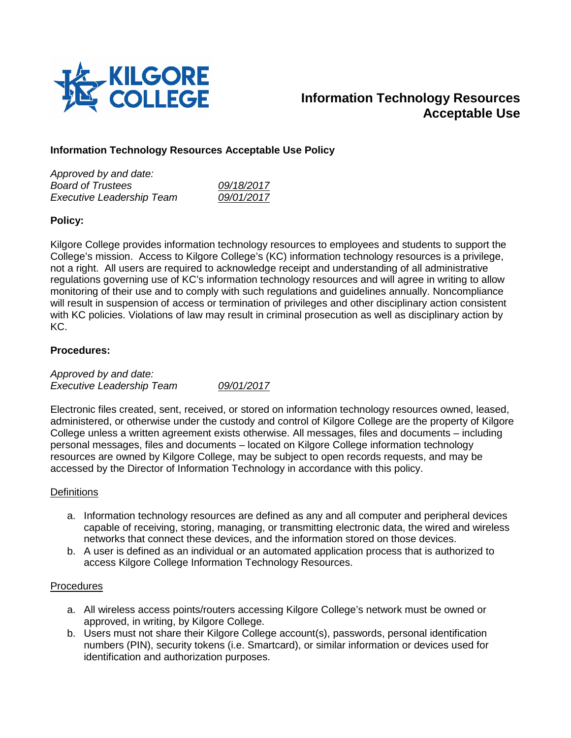

# **Information Technology Resources Acceptable Use**

## **Information Technology Resources Acceptable Use Policy**

| Approved by and date:     |            |
|---------------------------|------------|
| <b>Board of Trustees</b>  | 09/18/2017 |
| Executive Leadership Team | 09/01/2017 |
|                           |            |

## **Policy:**

Kilgore College provides information technology resources to employees and students to support the College's mission. Access to Kilgore College's (KC) information technology resources is a privilege, not a right. All users are required to acknowledge receipt and understanding of all administrative regulations governing use of KC's information technology resources and will agree in writing to allow monitoring of their use and to comply with such regulations and guidelines annually. Noncompliance will result in suspension of access or termination of privileges and other disciplinary action consistent with KC policies. Violations of law may result in criminal prosecution as well as disciplinary action by KC.

## **Procedures:**

| Approved by and date:            |            |
|----------------------------------|------------|
| <b>Executive Leadership Team</b> | 09/01/2017 |

Electronic files created, sent, received, or stored on information technology resources owned, leased, administered, or otherwise under the custody and control of Kilgore College are the property of Kilgore College unless a written agreement exists otherwise. All messages, files and documents – including personal messages, files and documents – located on Kilgore College information technology resources are owned by Kilgore College, may be subject to open records requests, and may be accessed by the Director of Information Technology in accordance with this policy.

#### **Definitions**

- a. Information technology resources are defined as any and all computer and peripheral devices capable of receiving, storing, managing, or transmitting electronic data, the wired and wireless networks that connect these devices, and the information stored on those devices.
- b. A user is defined as an individual or an automated application process that is authorized to access Kilgore College Information Technology Resources.

#### **Procedures**

- a. All wireless access points/routers accessing Kilgore College's network must be owned or approved, in writing, by Kilgore College.
- b. Users must not share their Kilgore College account(s), passwords, personal identification numbers (PIN), security tokens (i.e. Smartcard), or similar information or devices used for identification and authorization purposes.